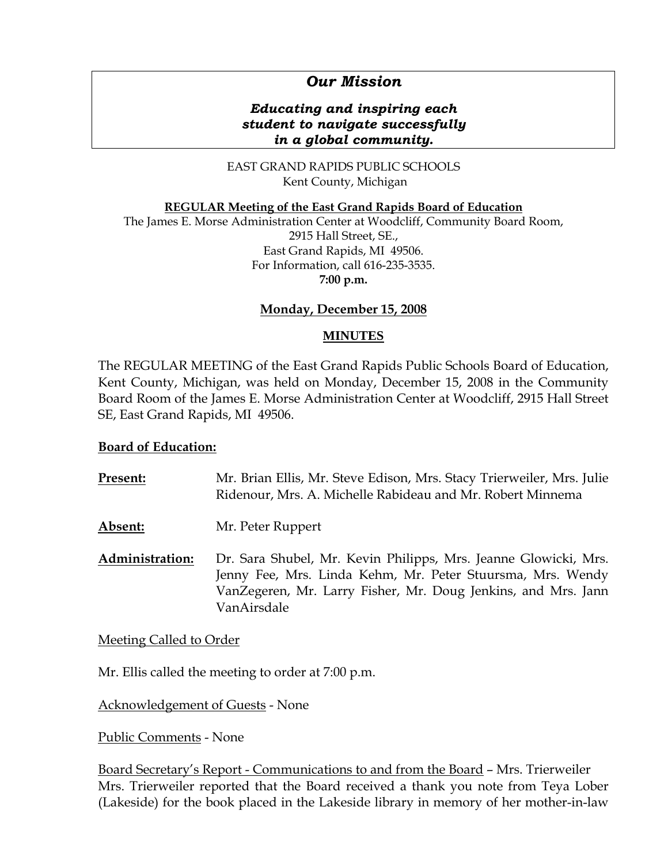# *Our Mission*

### *Educating and inspiring each student to navigate successfully in a global community.*

EAST GRAND RAPIDS PUBLIC SCHOOLS Kent County, Michigan

#### **REGULAR Meeting of the East Grand Rapids Board of Education**

The James E. Morse Administration Center at Woodcliff, Community Board Room, 2915 Hall Street, SE., East Grand Rapids, MI 49506. For Information, call 616-235-3535. **7:00 p.m.**

#### **Monday, December 15, 2008**

#### **MINUTES**

The REGULAR MEETING of the East Grand Rapids Public Schools Board of Education, Kent County, Michigan, was held on Monday, December 15, 2008 in the Community Board Room of the James E. Morse Administration Center at Woodcliff, 2915 Hall Street SE, East Grand Rapids, MI 49506.

#### **Board of Education:**

| Present:        | Mr. Brian Ellis, Mr. Steve Edison, Mrs. Stacy Trierweiler, Mrs. Julie<br>Ridenour, Mrs. A. Michelle Rabideau and Mr. Robert Minnema                                                                           |
|-----------------|---------------------------------------------------------------------------------------------------------------------------------------------------------------------------------------------------------------|
| Absent:         | Mr. Peter Ruppert                                                                                                                                                                                             |
| Administration: | Dr. Sara Shubel, Mr. Kevin Philipps, Mrs. Jeanne Glowicki, Mrs.<br>Jenny Fee, Mrs. Linda Kehm, Mr. Peter Stuursma, Mrs. Wendy<br>VanZegeren, Mr. Larry Fisher, Mr. Doug Jenkins, and Mrs. Jann<br>VanAirsdale |

Meeting Called to Order

Mr. Ellis called the meeting to order at 7:00 p.m.

Acknowledgement of Guests - None

Public Comments - None

Board Secretary's Report - Communications to and from the Board – Mrs. Trierweiler Mrs. Trierweiler reported that the Board received a thank you note from Teya Lober (Lakeside) for the book placed in the Lakeside library in memory of her mother-in-law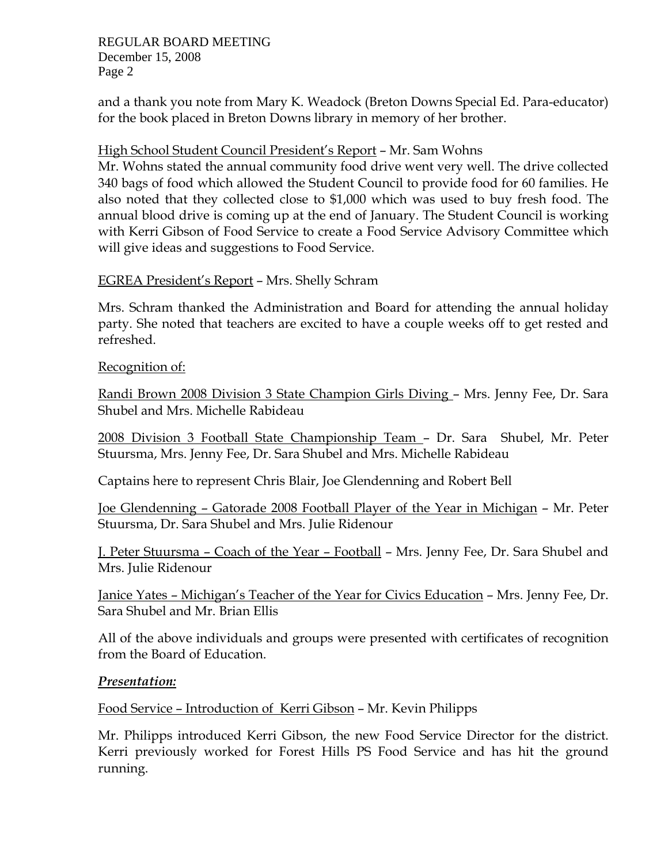REGULAR BOARD MEETING December 15, 2008 Page 2

and a thank you note from Mary K. Weadock (Breton Downs Special Ed. Para-educator) for the book placed in Breton Downs library in memory of her brother.

# High School Student Council President's Report – Mr. Sam Wohns

Mr. Wohns stated the annual community food drive went very well. The drive collected 340 bags of food which allowed the Student Council to provide food for 60 families. He also noted that they collected close to \$1,000 which was used to buy fresh food. The annual blood drive is coming up at the end of January. The Student Council is working with Kerri Gibson of Food Service to create a Food Service Advisory Committee which will give ideas and suggestions to Food Service.

# EGREA President's Report – Mrs. Shelly Schram

Mrs. Schram thanked the Administration and Board for attending the annual holiday party. She noted that teachers are excited to have a couple weeks off to get rested and refreshed.

### Recognition of:

Randi Brown 2008 Division 3 State Champion Girls Diving – Mrs. Jenny Fee, Dr. Sara Shubel and Mrs. Michelle Rabideau

2008 Division 3 Football State Championship Team – Dr. Sara Shubel, Mr. Peter Stuursma, Mrs. Jenny Fee, Dr. Sara Shubel and Mrs. Michelle Rabideau

Captains here to represent Chris Blair, Joe Glendenning and Robert Bell

Joe Glendenning – Gatorade 2008 Football Player of the Year in Michigan – Mr. Peter Stuursma, Dr. Sara Shubel and Mrs. Julie Ridenour

J. Peter Stuursma – Coach of the Year – Football – Mrs. Jenny Fee, Dr. Sara Shubel and Mrs. Julie Ridenour

Janice Yates – Michigan's Teacher of the Year for Civics Education – Mrs. Jenny Fee, Dr. Sara Shubel and Mr. Brian Ellis

All of the above individuals and groups were presented with certificates of recognition from the Board of Education.

### *Presentation:*

Food Service – Introduction of Kerri Gibson – Mr. Kevin Philipps

Mr. Philipps introduced Kerri Gibson, the new Food Service Director for the district. Kerri previously worked for Forest Hills PS Food Service and has hit the ground running.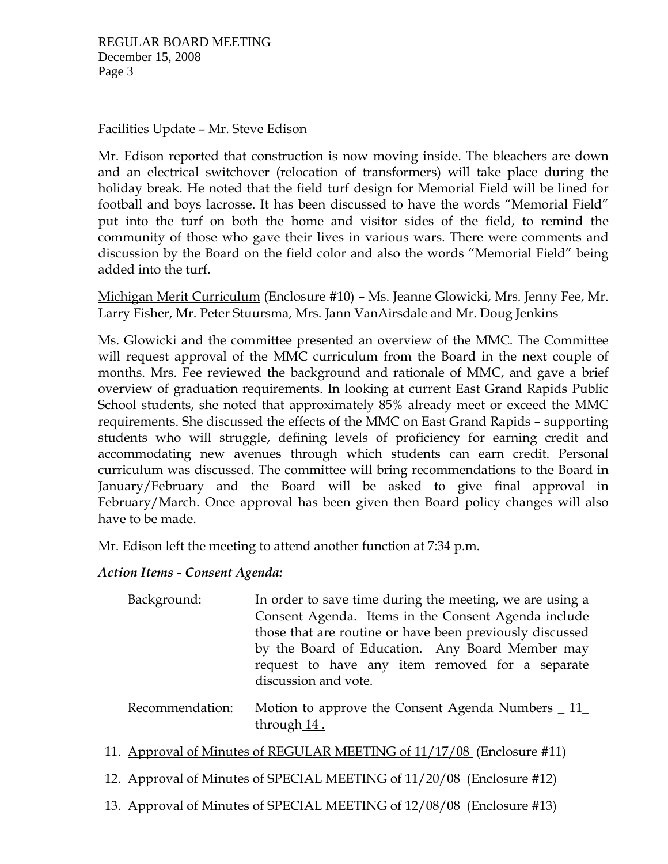REGULAR BOARD MEETING December 15, 2008 Page 3

Facilities Update – Mr. Steve Edison

Mr. Edison reported that construction is now moving inside. The bleachers are down and an electrical switchover (relocation of transformers) will take place during the holiday break. He noted that the field turf design for Memorial Field will be lined for football and boys lacrosse. It has been discussed to have the words "Memorial Field" put into the turf on both the home and visitor sides of the field, to remind the community of those who gave their lives in various wars. There were comments and discussion by the Board on the field color and also the words "Memorial Field" being added into the turf.

Michigan Merit Curriculum (Enclosure #10) – Ms. Jeanne Glowicki, Mrs. Jenny Fee, Mr. Larry Fisher, Mr. Peter Stuursma, Mrs. Jann VanAirsdale and Mr. Doug Jenkins

Ms. Glowicki and the committee presented an overview of the MMC. The Committee will request approval of the MMC curriculum from the Board in the next couple of months. Mrs. Fee reviewed the background and rationale of MMC, and gave a brief overview of graduation requirements. In looking at current East Grand Rapids Public School students, she noted that approximately 85% already meet or exceed the MMC requirements. She discussed the effects of the MMC on East Grand Rapids – supporting students who will struggle, defining levels of proficiency for earning credit and accommodating new avenues through which students can earn credit. Personal curriculum was discussed. The committee will bring recommendations to the Board in January/February and the Board will be asked to give final approval in February/March. Once approval has been given then Board policy changes will also have to be made.

Mr. Edison left the meeting to attend another function at 7:34 p.m.

### *Action Items - Consent Agenda:*

- Background: In order to save time during the meeting, we are using a Consent Agenda. Items in the Consent Agenda include those that are routine or have been previously discussed by the Board of Education. Any Board Member may request to have any item removed for a separate discussion and vote.
- Recommendation: Motion to approve the Consent Agenda Numbers 11 through 14.
- 11. Approval of Minutes of REGULAR MEETING of 11/17/08 (Enclosure #11)
- 12. Approval of Minutes of SPECIAL MEETING of 11/20/08 (Enclosure #12)
- 13. Approval of Minutes of SPECIAL MEETING of 12/08/08 (Enclosure #13)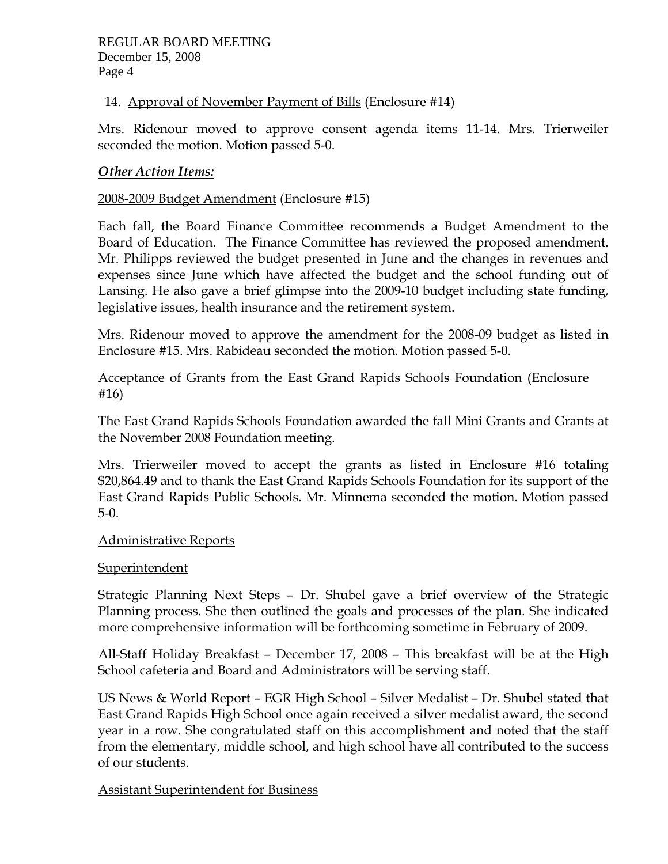# 14. Approval of November Payment of Bills (Enclosure #14)

Mrs. Ridenour moved to approve consent agenda items 11-14. Mrs. Trierweiler seconded the motion. Motion passed 5-0.

# *Other Action Items:*

# 2008-2009 Budget Amendment (Enclosure #15)

Each fall, the Board Finance Committee recommends a Budget Amendment to the Board of Education. The Finance Committee has reviewed the proposed amendment. Mr. Philipps reviewed the budget presented in June and the changes in revenues and expenses since June which have affected the budget and the school funding out of Lansing. He also gave a brief glimpse into the 2009-10 budget including state funding, legislative issues, health insurance and the retirement system.

Mrs. Ridenour moved to approve the amendment for the 2008-09 budget as listed in Enclosure #15. Mrs. Rabideau seconded the motion. Motion passed 5-0.

Acceptance of Grants from the East Grand Rapids Schools Foundation (Enclosure #16)

The East Grand Rapids Schools Foundation awarded the fall Mini Grants and Grants at the November 2008 Foundation meeting.

Mrs. Trierweiler moved to accept the grants as listed in Enclosure #16 totaling \$20,864.49 and to thank the East Grand Rapids Schools Foundation for its support of the East Grand Rapids Public Schools. Mr. Minnema seconded the motion. Motion passed 5-0.

### Administrative Reports

### Superintendent

Strategic Planning Next Steps – Dr. Shubel gave a brief overview of the Strategic Planning process. She then outlined the goals and processes of the plan. She indicated more comprehensive information will be forthcoming sometime in February of 2009.

All-Staff Holiday Breakfast – December 17, 2008 – This breakfast will be at the High School cafeteria and Board and Administrators will be serving staff.

US News & World Report – EGR High School – Silver Medalist – Dr. Shubel stated that East Grand Rapids High School once again received a silver medalist award, the second year in a row. She congratulated staff on this accomplishment and noted that the staff from the elementary, middle school, and high school have all contributed to the success of our students.

### Assistant Superintendent for Business